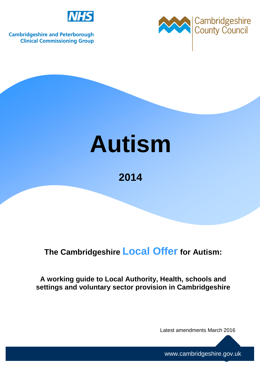

**Cambridgeshire and Peterborough Clinical Commissioning Group** 



# **Autism**

**2014** 

# **The Cambridgeshire Local Offer for Autism:**

**A working guide to Local Authority, Health, schools and settings and voluntary sector provision in Cambridgeshire** 

Latest amendments March 2016

www.cambridgeshire.gov.uk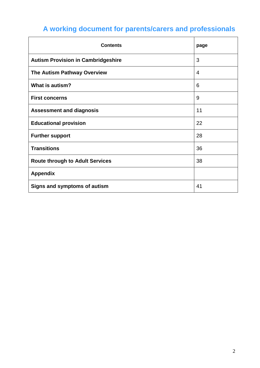# **A working document for parents/carers and professionals**

| <b>Contents</b>                           | page           |
|-------------------------------------------|----------------|
| <b>Autism Provision in Cambridgeshire</b> | 3              |
| The Autism Pathway Overview               | $\overline{4}$ |
| What is autism?                           | 6              |
| <b>First concerns</b>                     | 9              |
| <b>Assessment and diagnosis</b>           | 11             |
| <b>Educational provision</b>              | 22             |
| <b>Further support</b>                    | 28             |
| <b>Transitions</b>                        | 36             |
| <b>Route through to Adult Services</b>    | 38             |
| <b>Appendix</b>                           |                |
| Signs and symptoms of autism              | 41             |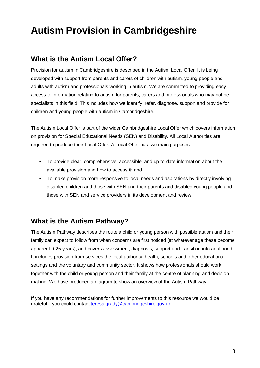# **Autism Provision in Cambridgeshire**

### **What is the Autism Local Offer?**

Provision for autism in Cambridgeshire is described in the Autism Local Offer. It is being developed with support from parents and carers of children with autism, young people and adults with autism and professionals working in autism. We are committed to providing easy access to information relating to autism for parents, carers and professionals who may not be specialists in this field. This includes how we identify, refer, diagnose, support and provide for children and young people with autism in Cambridgeshire.

The Autism Local Offer is part of the wider Cambridgeshire Local Offer which covers information on provision for Special Educational Needs (SEN) and Disability. All Local Authorities are required to produce their Local Offer. A Local Offer has two main purposes:

- To provide clear, comprehensive, accessible and up-to-date information about the available provision and how to access it; and
- To make provision more responsive to local needs and aspirations by directly involving disabled children and those with SEN and their parents and disabled young people and those with SEN and service providers in its development and review.

### **What is the Autism Pathway?**

The Autism Pathway describes the route a child or young person with possible autism and their family can expect to follow from when concerns are first noticed (at whatever age these become apparent 0-25 years), and covers assessment, diagnosis, support and transition into adulthood. It includes provision from services the local authority, health, schools and other educational settings and the voluntary and community sector. It shows how professionals should work together with the child or young person and their family at the centre of planning and decision making. We have produced a diagram to show an overview of the Autism Pathway.

If you have any recommendations for further improvements to this resource we would be grateful if you could contact teresa.grady@cambridgeshire.gov.uk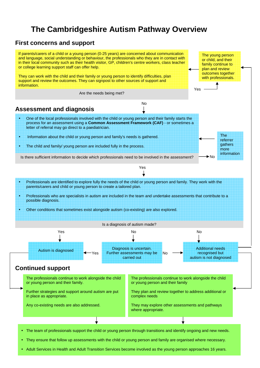# **The Cambridgeshire Autism Pathway Overview**

#### **First concerns and support**



• Adult Services in Health and Adult Transition Services become involved as the young person approaches 16 years.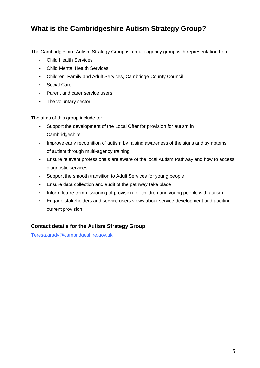### **What is the Cambridgeshire Autism Strategy Group?**

The Cambridgeshire Autism Strategy Group is a multi-agency group with representation from:

- Child Health Services
- Child Mental Health Services
- Children, Family and Adult Services, Cambridge County Council
- Social Care
- Parent and carer service users
- The voluntary sector

The aims of this group include to:

- Support the development of the Local Offer for provision for autism in **Cambridgeshire**
- Improve early recognition of autism by raising awareness of the signs and symptoms of autism through multi-agency training
- Ensure relevant professionals are aware of the local Autism Pathway and how to access diagnostic services
- Support the smooth transition to Adult Services for young people
- Ensure data collection and audit of the pathway take place
- Inform future commissioning of provision for children and young people with autism
- Engage stakeholders and service users views about service development and auditing current provision

#### **Contact details for the Autism Strategy Group**

Teresa.grady@cambridgeshire.gov.uk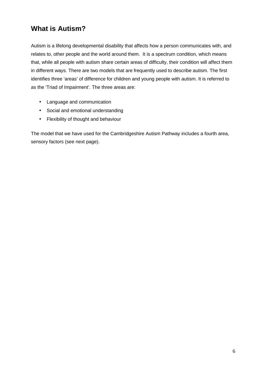### **What is Autism?**

Autism is a lifelong developmental disability that affects how a person communicates with, and relates to, other people and the world around them. It is a spectrum condition, which means that, while all people with autism share certain areas of difficulty, their condition will affect them in different ways. There are two models that are frequently used to describe autism. The first identifies three 'areas' of difference for children and young people with autism. It is referred to as the 'Triad of Impairment'. The three areas are:

- Language and communication
- Social and emotional understanding
- Flexibility of thought and behaviour

The model that we have used for the Cambridgeshire Autism Pathway includes a fourth area, sensory factors (see next page).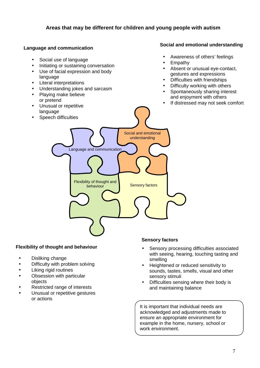#### **Areas that may be different for children and young people with autism**

#### **Language and communication**

#### Social use of language

- Initiating or sustaining conversation
- Use of facial expression and body language
- Literal interpretations
- Understanding jokes and sarcasm
- Playing make believe or pretend
- Unusual or repetitive language
- Speech difficulties

#### **Social and emotional understanding**

- Awareness of others' feelings
- Empathy
- Absent or unusual eye-contact, gestures and expressions
- Difficulties with friendships
- Difficulty working with others
- Spontaneously sharing interest and enjoyment with others
- If distressed may not seek comfort
- Social and emotional understanding Language and communication Flexibility of thought and behaviour **Sensory factors**

#### **Flexibility of thought and behaviour**

- Disliking change
- Difficulty with problem solving
- Liking rigid routines
- Obsession with particular objects
- Restricted range of interests
- Unusual or repetitive gestures or actions

#### **Sensory factors**

- Sensory processing difficulties associated with seeing, hearing, touching tasting and smelling
- Heightened or reduced sensitivity to sounds, tastes, smells, visual and other sensory stimuli
- Difficulties sensing where their body is and maintaining balance

It is important that individual needs are acknowledged and adjustments made to ensure an appropriate environment for example in the home, nursery, school or work environment.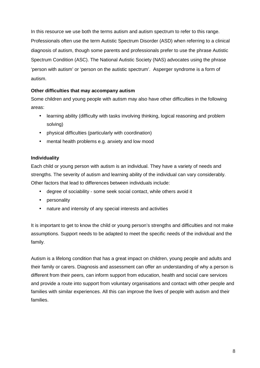In this resource we use both the terms autism and autism spectrum to refer to this range. Professionals often use the term Autistic Spectrum Disorder (ASD) when referring to a clinical diagnosis of autism, though some parents and professionals prefer to use the phrase Autistic Spectrum Condition (ASC). The National Autistic Society (NAS) advocates using the phrase 'person with autism' or 'person on the autistic spectrum'. Asperger syndrome is a form of autism.

#### **Other difficulties that may accompany autism**

Some children and young people with autism may also have other difficulties in the following areas:

- learning ability (difficulty with tasks involving thinking, logical reasoning and problem solving)
- physical difficulties (particularly with coordination)
- mental health problems e.g. anxiety and low mood

#### **Individuality**

Each child or young person with autism is an individual. They have a variety of needs and strengths. The severity of autism and learning ability of the individual can vary considerably. Other factors that lead to differences between individuals include:

- degree of sociability some seek social contact, while others avoid it
- personality
- nature and intensity of any special interests and activities

It is important to get to know the child or young person's strengths and difficulties and not make assumptions. Support needs to be adapted to meet the specific needs of the individual and the family.

Autism is a lifelong condition that has a great impact on children, young people and adults and their family or carers. Diagnosis and assessment can offer an understanding of why a person is different from their peers, can inform support from education, health and social care services and provide a route into support from voluntary organisations and contact with other people and families with similar experiences. All this can improve the lives of people with autism and their families.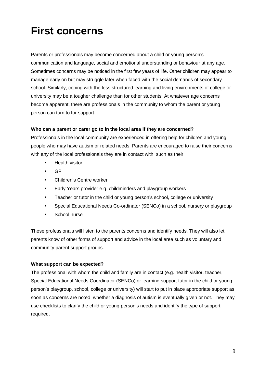# **First concerns**

Parents or professionals may become concerned about a child or young person's communication and language, social and emotional understanding or behaviour at any age. Sometimes concerns may be noticed in the first few years of life. Other children may appear to manage early on but may struggle later when faced with the social demands of secondary school. Similarly, coping with the less structured learning and living environments of college or university may be a tougher challenge than for other students. At whatever age concerns become apparent, there are professionals in the community to whom the parent or young person can turn to for support.

#### **Who can a parent or carer go to in the local area if they are concerned?**

Professionals in the local community are experienced in offering help for children and young people who may have autism or related needs. Parents are encouraged to raise their concerns with any of the local professionals they are in contact with, such as their:

- Health visitor
- GP
- Children's Centre worker
- Early Years provider e.g. childminders and playgroup workers
- Teacher or tutor in the child or young person's school, college or university
- Special Educational Needs Co-ordinator (SENCo) in a school, nursery or playgroup
- School nurse

These professionals will listen to the parents concerns and identify needs. They will also let parents know of other forms of support and advice in the local area such as voluntary and community parent support groups.

#### **What support can be expected?**

The professional with whom the child and family are in contact (e.g. health visitor, teacher, Special Educational Needs Coordinator (SENCo) or learning support tutor in the child or young person's playgroup, school, college or university) will start to put in place appropriate support as soon as concerns are noted, whether a diagnosis of autism is eventually given or not. They may use checklists to clarify the child or young person's needs and identify the type of support required.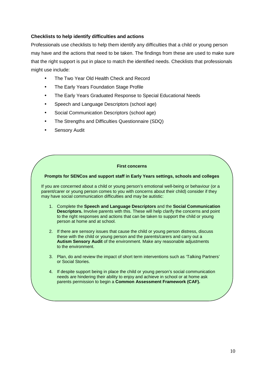#### **Checklists to help identify difficulties and actions**

Professionals use checklists to help them identify any difficulties that a child or young person may have and the actions that need to be taken. The findings from these are used to make sure that the right support is put in place to match the identified needs. Checklists that professionals might use include:

- The Two Year Old Health Check and Record
- The Early Years Foundation Stage Profile
- The Early Years Graduated Response to Special Educational Needs
- Speech and Language Descriptors (school age)
- Social Communication Descriptors (school age)
- The Strengths and Difficulties Questionnaire (SDQ)
- Sensory Audit

#### **First concerns**

#### **Prompts for SENCos and support staff in Early Years settings, schools and colleges**

If you are concerned about a child or young person's emotional well-being or behaviour (or a parent/carer or young person comes to you with concerns about their child) consider if they may have social communication difficulties and may be autistic:

- 1. Complete the **Speech and Language Descriptors** and the **Social Communication Descriptors.** Involve parents with this. These will help clarify the concerns and point to the right responses and actions that can be taken to support the child or young person at home and at school.
- 2. If there are sensory issues that cause the child or young person distress, discuss these with the child or young person and the parents/carers and carry out a **Autism Sensory Audit** of the environment. Make any reasonable adjustments to the environment.
- 3. Plan, do and review the impact of short term interventions such as 'Talking Partners' or Social Stories.
- 4. If despite support being in place the child or young person's social communication needs are hindering their ability to enjoy and achieve in school or at home ask parents permission to begin a **Common Assessment Framework (CAF).**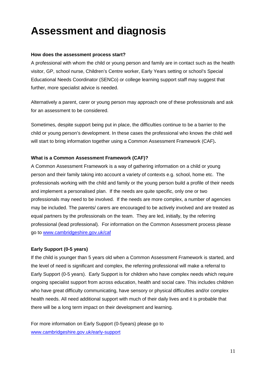# **Assessment and diagnosis**

#### **How does the assessment process start?**

A professional with whom the child or young person and family are in contact such as the health visitor, GP, school nurse, Children's Centre worker, Early Years setting or school's Special Educational Needs Coordinator (SENCo) or college learning support staff may suggest that further, more specialist advice is needed.

Alternatively a parent, carer or young person may approach one of these professionals and ask for an assessment to be considered.

Sometimes, despite support being put in place, the difficulties continue to be a barrier to the child or young person's development. In these cases the professional who knows the child well will start to bring information together using a Common Assessment Framework (CAF)**.**

#### **What is a Common Assessment Framework (CAF)?**

A Common Assessment Framework is a way of gathering information on a child or young person and their family taking into account a variety of contexts e.g. school, home etc. The professionals working with the child and family or the young person build a profile of their needs and implement a personalised plan. If the needs are quite specific, only one or two professionals may need to be involved. If the needs are more complex, a number of agencies may be included. The parents/ carers are encouraged to be actively involved and are treated as equal partners by the professionals on the team. They are led, initially, by the referring professional (lead professional).For information on the Common Assessment process please go to www.cambridgeshire.gov.uk/caf

#### **Early Support (0-5 years)**

If the child is younger than 5 years old when a Common Assessment Framework is started, and the level of need is significant and complex, the referring professional will make a referral to Early Support (0-5 years). Early Support is for children who have complex needs which require ongoing specialist support from across education, health and social care. This includes children who have great difficulty communicating, have sensory or physical difficulties and/or complex health needs. All need additional support with much of their daily lives and it is probable that there will be a long term impact on their development and learning.

For more information on Early Support (0-5years) please go to www.cambridgeshire.gov.uk/early-support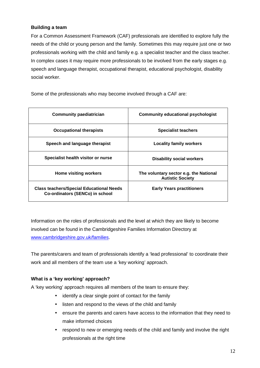#### **Building a team**

For a Common Assessment Framework (CAF) professionals are identified to explore fully the needs of the child or young person and the family. Sometimes this may require just one or two professionals working with the child and family e.g. a specialist teacher and the class teacher. In complex cases it may require more professionals to be involved from the early stages e.g. speech and language therapist, occupational therapist, educational psychologist, disability social worker.

Some of the professionals who may become involved through a CAF are:

| <b>Community paediatrician</b>                                                     | Community educational psychologist                                |
|------------------------------------------------------------------------------------|-------------------------------------------------------------------|
| <b>Occupational therapists</b>                                                     | <b>Specialist teachers</b>                                        |
| Speech and language therapist                                                      | <b>Locality family workers</b>                                    |
| Specialist health visitor or nurse                                                 | <b>Disability social workers</b>                                  |
| <b>Home visiting workers</b>                                                       | The voluntary sector e.g. the National<br><b>Autistic Society</b> |
| <b>Class teachers/Special Educational Needs</b><br>Co-ordinators (SENCo) in school | <b>Early Years practitioners</b>                                  |

Information on the roles of professionals and the level at which they are likely to become involved can be found in the Cambridgeshire Families Information Directory at www.cambridgeshire.gov.uk/families.

The parents/carers and team of professionals identify a 'lead professional' to coordinate their work and all members of the team use a 'key working' approach.

#### **What is a 'key working' approach?**

A 'key working' approach requires all members of the team to ensure they:

- identify a clear single point of contact for the family
- listen and respond to the views of the child and family
- ensure the parents and carers have access to the information that they need to make informed choices
- respond to new or emerging needs of the child and family and involve the right professionals at the right time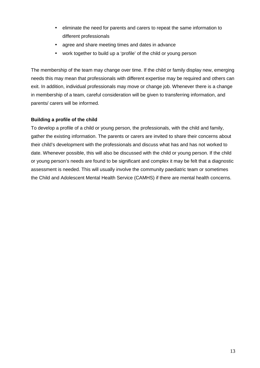- eliminate the need for parents and carers to repeat the same information to different professionals
- agree and share meeting times and dates in advance
- work together to build up a 'profile' of the child or young person

The membership of the team may change over time. If the child or family display new, emerging needs this may mean that professionals with different expertise may be required and others can exit. In addition, individual professionals may move or change job. Whenever there is a change in membership of a team, careful consideration will be given to transferring information, and parents/ carers will be informed.

#### **Building a profile of the child**

To develop a profile of a child or young person, the professionals, with the child and family, gather the existing information. The parents or carers are invited to share their concerns about their child's development with the professionals and discuss what has and has not worked to date. Whenever possible, this will also be discussed with the child or young person. If the child or young person's needs are found to be significant and complex it may be felt that a diagnostic assessment is needed. This will usually involve the community paediatric team or sometimes the Child and Adolescent Mental Health Service (CAMHS) if there are mental health concerns.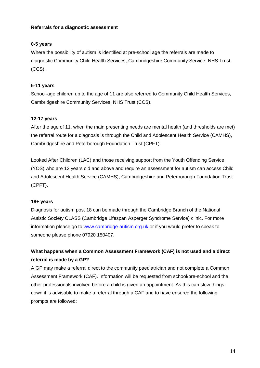#### **Referrals for a diagnostic assessment**

#### **0-5 years**

Where the possibility of autism is identified at pre-school age the referrals are made to diagnostic Community Child Health Services, Cambridgeshire Community Service, NHS Trust (CCS).

#### **5-11 years**

School-age children up to the age of 11 are also referred to Community Child Health Services, Cambridgeshire Community Services, NHS Trust (CCS).

#### **12-17 years**

After the age of 11, when the main presenting needs are mental health (and thresholds are met) the referral route for a diagnosis is through the Child and Adolescent Health Service (CAMHS), Cambridgeshire and Peterborough Foundation Trust (CPFT).

Looked After Children (LAC) and those receiving support from the Youth Offending Service (YOS) who are 12 years old and above and require an assessment for autism can access Child and Adolescent Health Service (CAMHS), Cambridgeshire and Peterborough Foundation Trust (CPFT).

#### **18+ years**

Diagnosis for autism post 18 can be made through the Cambridge Branch of the National Autistic Society CLASS (Cambridge Lifespan Asperger Syndrome Service) clinic. For more information please go to www.cambridge-autism.org.uk or if you would prefer to speak to someone please phone 07920 150407.

#### **What happens when a Common Assessment Framework (CAF) is not used and a direct referral is made by a GP?**

A GP may make a referral direct to the community paediatrician and not complete a Common Assessment Framework (CAF). Information will be requested from school/pre-school and the other professionals involved before a child is given an appointment. As this can slow things down it is advisable to make a referral through a CAF and to have ensured the following prompts are followed: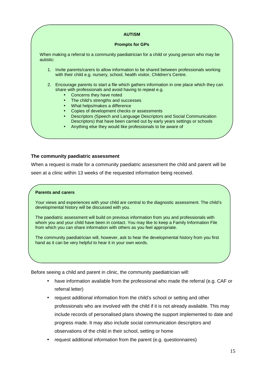#### **AUTISM**

#### **Prompts for GPs**

When making a referral to a community paediatrician for a child or young person who may be autistic:

- 1. Invite parents/carers to allow information to be shared between professionals working with their child e.g. nursery, school, health visitor, Children's Centre.
- 2. Encourage parents to start a file which gathers information in one place which they can share with professionals and avoid having to repeat e.g.
	- Concerns they have noted<br>• The child's strengths and s
	- The child's strengths and successes
	- What helps/makes a difference
	- Copies of development checks or assessments
	- Descriptors (Speech and Language Descriptors and Social Communication Descriptors) that have been carried out by early years settings or schools
	- Anything else they would like professionals to be aware of

#### **The community paediatric assessment**

When a request is made for a community paediatric assessment the child and parent will be seen at a clinic within 13 weeks of the requested information being received.

#### **Parents and carers**

Your views and experiences with your child are central to the diagnostic assessment. The child's developmental history will be discussed with you.

The paediatric assessment will build on previous information from you and professionals with whom you and your child have been in contact. You may like to keep a Family Information File from which you can share information with others as you feel appropriate.

The community paediatrician will, however, ask to hear the developmental history from you first hand as it can be very helpful to hear it in your own words.

Before seeing a child and parent in clinic, the community paediatrician will:

- have information available from the professional who made the referral (e.g. CAF or referral letter)
- request additional information from the child's school or setting and other professionals who are involved with the child if it is not already available. This may include records of personalised plans showing the support implemented to date and progress made. It may also include social communication descriptors and observations of the child in their school, setting or home
- request additional information from the parent (e.g. questionnaires)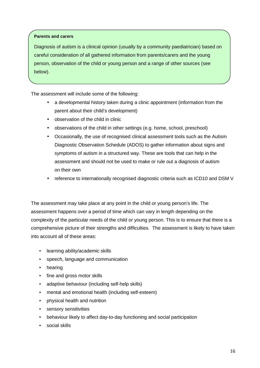#### **Parents and carers**

Diagnosis of autism is a clinical opinion (usually by a community paediatrician) based on careful consideration of all gathered information from parents/carers and the young person, observation of the child or young person and a range of other sources (see below).

The assessment will include some of the following:

- a developmental history taken during a clinic appointment (information from the parent about their child's development)
- observation of the child in clinic
- observations of the child in other settings (e.g. home, school, preschool)
- Occasionally, the use of recognised clinical assessment tools such as the Autism Diagnostic Observation Schedule (ADOS) to gather information about signs and symptoms of autism in a structured way. These are tools that can help in the assessment and should not be used to make or rule out a diagnosis of autism on their own
- reference to internationally recognised diagnostic criteria such as ICD10 and DSM V

The assessment may take place at any point in the child or young person's life. The assessment happens over a period of time which can vary in length depending on the complexity of the particular needs of the child or young person. This is to ensure that there is a comprehensive picture of their strengths and difficulties. The assessment is likely to have taken into account all of these areas:

- learning ability/academic skills
- speech, language and communication
- hearing
- fine and gross motor skills
- adaptive behaviour (including self-help skills)
- mental and emotional health (including self-esteem)
- physical health and nutrition
- sensory sensitivities
- behaviour likely to affect day-to-day functioning and social participation
- social skills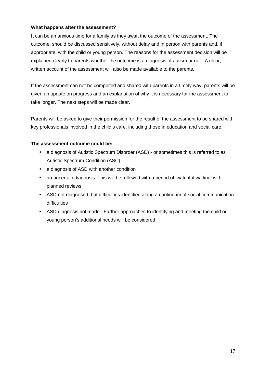#### **What happens after the assessment?**

It can be an anxious time for a family as they await the outcome of the assessment. The outcome, should be discussed sensitively, without delay and in person with parents and, if appropriate, with the child or young person. The reasons for the assessment decision will be explained clearly to parents whether the outcome is a diagnosis of autism or not. A clear, written account of the assessment will also be made available to the parents.

If the assessment can not be completed and shared with parents in a timely way, parents will be given an update on progress and an explanation of why it is necessary for the assessment to take longer. The next steps will be made clear.

Parents will be asked to give their permission for the result of the assessment to be shared with key professionals involved in the child's care, including those in education and social care.

#### **The assessment outcome could be:**

- a diagnosis of Autistic Spectrum Disorder (ASD) or sometimes this is referred to as Autistic Spectrum Condition (ASC)
- a diagnosis of ASD with another condition
- an uncertain diagnosis. This will be followed with a period of 'watchful waiting' with planned reviews
- ASD not diagnosed, but difficulties identified along a continuum of social communication difficulties
- ASD diagnosis not made. Further approaches to identifying and meeting the child or young person's additional needs will be considered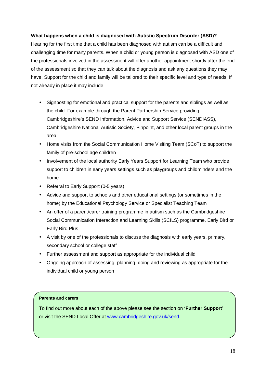#### **What happens when a child is diagnosed with Autistic Spectrum Disorder (ASD)?**

Hearing for the first time that a child has been diagnosed with autism can be a difficult and challenging time for many parents. When a child or young person is diagnosed with ASD one of the professionals involved in the assessment will offer another appointment shortly after the end of the assessment so that they can talk about the diagnosis and ask any questions they may have. Support for the child and family will be tailored to their specific level and type of needs. If not already in place it may include:

- Signposting for emotional and practical support for the parents and siblings as well as the child. For example through the Parent Partnership Service providing Cambridgeshire's SEND Information, Advice and Support Service (SENDIASS), Cambridgeshire National Autistic Society, Pinpoint, and other local parent groups in the area
- Home visits from the Social Communication Home Visiting Team (SCoT) to support the family of pre-school age children
- Involvement of the local authority Early Years Support for Learning Team who provide support to children in early years settings such as playgroups and childminders and the home
- Referral to Early Support (0-5 years)
- Advice and support to schools and other educational settings (or sometimes in the home) by the Educational Psychology Service or Specialist Teaching Team
- An offer of a parent/carer training programme in autism such as the Cambridgeshire Social Communication Interaction and Learning Skills (SCILS) programme, Early Bird or Early Bird Plus
- A visit by one of the professionals to discuss the diagnosis with early years, primary, secondary school or college staff
- Further assessment and support as appropriate for the individual child
- Ongoing approach of assessing, planning, doing and reviewing as appropriate for the individual child or young person

#### **Parents and carers**

To find out more about each of the above please see the section on **'Further Support'** or visit the SEND Local Offer at www.cambridgeshire.gov.uk/send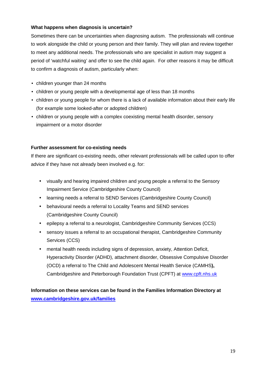#### **What happens when diagnosis is uncertain?**

Sometimes there can be uncertainties when diagnosing autism. The professionals will continue to work alongside the child or young person and their family. They will plan and review together to meet any additional needs. The professionals who are specialist in autism may suggest a period of 'watchful waiting' and offer to see the child again. For other reasons it may be difficult to confirm a diagnosis of autism, particularly when:

- children younger than 24 months
- children or young people with a developmental age of less than 18 months
- children or young people for whom there is a lack of available information about their early life (for example some looked-after or adopted children)
- children or young people with a complex coexisting mental health disorder, sensory impairment or a motor disorder

#### **Further assessment for co-existing needs**

If there are significant co-existing needs, other relevant professionals will be called upon to offer advice if they have not already been involved e.g. for:

- visually and hearing impaired children and young people a referral to the Sensory Impairment Service (Cambridgeshire County Council)
- learning needs a referral to SEND Services (Cambridgeshire County Council)
- behavioural needs a referral to Locality Teams and SEND services (Cambridgeshire County Council)
- epilepsy a referral to a neurologist, Cambridgeshire Community Services (CCS)
- sensory issues a referral to an occupational therapist, Cambridgeshire Community Services (CCS)
- mental health needs including signs of depression, anxiety, Attention Deficit, Hyperactivity Disorder (ADHD), attachment disorder, Obsessive Compulsive Disorder (OCD) a referral to The Child and Adolescent Mental Health Service (CAMHS**),** Cambridgeshire and Peterborough Foundation Trust (CPFT) at www.cpft.nhs.uk

**Information on these services can be found in the Families Information Directory at www.cambridgeshire.gov.uk/families**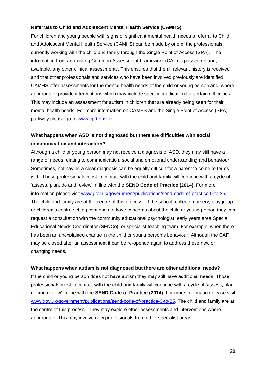#### **Referrals to Child and Adolescent Mental Health Service (CAMHS)**

For children and young people with signs of significant mental health needs a referral to Child and Adolescent Mental Health Service (CAMHS) can be made by one of the professionals currently working with the child and family through the Single Point of Access (SPA).The information from an existing Common Assessment Framework (CAF) is passed on and, if available, any other clinical assessments. This ensures that the all relevant history is received and that other professionals and services who have been involved previously are identified. CAMHS offer assessments for the mental health needs of the child or young person and, where appropriate, provide interventions which may include specific medication for certain difficulties. This may include an assessment for autism in children that are already being seen for their mental health needs. For more information on CAMHS and the Single Point of Access (SPA) pathway please go to www.cpft.nhs.uk.

#### **What happens when ASD is not diagnosed but there are difficulties with social communication and interaction?**

Although a child or young person may not receive a diagnosis of ASD, they may still have a range of needs relating to communication, social and emotional understanding and behaviour. Sometimes, not having a clear diagnosis can be equally difficult for a parent to come to terms with. Those professionals most in contact with the child and family will continue with a cycle of 'assess, plan, do and review' in line with the **SEND Code of Practice (2014)**. For more information please visit www.gov.uk/government/publications/send-code-of-practice-0-to-25**.**  The child and family are at the centre of this process. If the school, college, nursery, playgroup or children's centre setting continues to have concerns about the child or young person they can request a consultation with the community educational psychologist, early years area Special Educational Needs Coordinator (SENCo), or specialist teaching team. For example, when there has been an unexplained change in the child or young person's behaviour. Although the CAF may be closed after an assessment it can be re-opened again to address these new or changing needs.

#### **What happens when autism is not diagnosed but there are other additional needs?**

If the child or young person does not have autism they may still have additional needs. Those professionals most in contact with the child and family will continue with a cycle of 'assess, plan, do and review' in line with the **SEND Code of Practice (2014).** For more information please visit www.gov.uk/government/publications/send-code-of-practice-0-to-25. The child and family are at the centre of this process. They may explore other assessments and interventions where appropriate. This may involve new professionals from other specialist areas.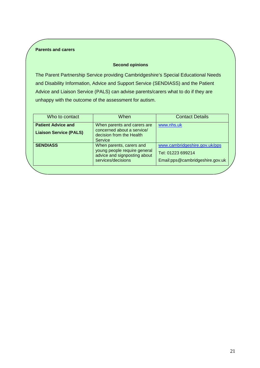#### **Parents and carers**

#### **Second opinions**

The Parent Partnership Service providing Cambridgeshire's Special Educational Needs and Disability Information, Advice and Support Service (SENDIASS) and the Patient Advice and Liaison Service (PALS) can advise parents/carers what to do if they are unhappy with the outcome of the assessment for autism.

| Who to contact                | When                                                                                                           | <b>Contact Details</b>                                                                |
|-------------------------------|----------------------------------------------------------------------------------------------------------------|---------------------------------------------------------------------------------------|
| <b>Patient Advice and</b>     | When parents and carers are                                                                                    | www.nhs.uk                                                                            |
| <b>Liaison Service (PALS)</b> | concerned about a service/<br>decision from the Health<br>Service                                              |                                                                                       |
| <b>SENDIASS</b>               | When parents, carers and<br>young people require general<br>advice and signposting about<br>services/decisions | www.cambridgeshire.gov.uk/pps<br>Tel: 01223 699214<br>Email:pps@cambridgeshire.gov.uk |
|                               |                                                                                                                |                                                                                       |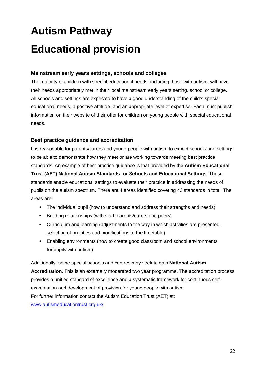# **Autism Pathway Educational provision**

#### **Mainstream early years settings, schools and colleges**

The majority of children with special educational needs, including those with autism, will have their needs appropriately met in their local mainstream early years setting, school or college. All schools and settings are expected to have a good understanding of the child's special educational needs, a positive attitude, and an appropriate level of expertise. Each must publish information on their website of their offer for children on young people with special educational needs.

#### **Best practice guidance and accreditation**

It is reasonable for parents/carers and young people with autism to expect schools and settings to be able to demonstrate how they meet or are working towards meeting best practice standards. An example of best practice guidance is that provided by the **Autism Educational Trust (AET) National Autism Standards for Schools and Educational Settings**. These standards enable educational settings to evaluate their practice in addressing the needs of pupils on the autism spectrum. There are 4 areas identified covering 43 standards in total. The areas are:

- The individual pupil (how to understand and address their strengths and needs)
- Building relationships (with staff; parents/carers and peers)
- Curriculum and learning (adjustments to the way in which activities are presented, selection of priorities and modifications to the timetable)
- Enabling environments (how to create good classroom and school environments for pupils with autism).

Additionally, some special schools and centres may seek to gain **National Autism Accreditation.** This is an externally moderated two year programme. The accreditation process provides a unified standard of excellence and a systematic framework for continuous selfexamination and development of provision for young people with autism. For further information contact the Autism Education Trust (AET) at: www.autismeducationtrust.org.uk/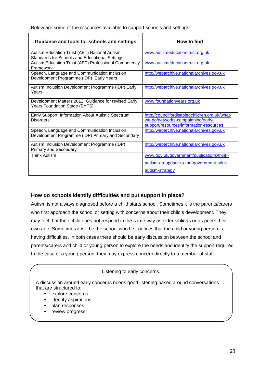Below are some of the resources available to support schools and settings:

| Guidance and tools for schools and settings                                                       | <b>How to find</b>                                                                                                             |
|---------------------------------------------------------------------------------------------------|--------------------------------------------------------------------------------------------------------------------------------|
| Autism Education Trust (AET) National Autism<br>Standards for Schools and Educational Settings    | www.autismeducationtrust.org.uk                                                                                                |
| Autism Education Trust (AET) Professional Competency<br>Framework                                 | www.autismeducationtrust.org.uk                                                                                                |
| Speech, Language and Communication Inclusion<br>Development Programme (IDP) Early Years           | http://webarchive.nationalarchives.gov.uk                                                                                      |
| Autism Inclusion Development Programme (IDP) Early<br>Years                                       | http://webarchive.nationalarchives.gov.uk                                                                                      |
| Development Matters 2012. Guidance for revised Early<br>Years Foundation Stage (EYFS)             | www.foundationyears.org.uk                                                                                                     |
| Early Support: Information About Autistic Spectrum<br><b>Disorders</b>                            | http://councilfordisabledchildren.org.uk/what-<br>we-do/networks-campaigning/early-<br>support/resources/information-resources |
| Speech, Language and Communication Inclusion<br>Development Programme (IDP) Primary and Secondary | http://webarchive.nationalarchives.gov.uk                                                                                      |
| Autism Inclusion Development Programme (IDP)<br><b>Primary and Secondary</b>                      | http://webarchive.nationalarchives.gov.uk                                                                                      |
| <b>Think Autism</b>                                                                               | www.gov.uk/government/publications/think-                                                                                      |
|                                                                                                   | autism-an-update-to-the-government-adult-                                                                                      |
|                                                                                                   | autism-strategy                                                                                                                |

#### **How do schools identify difficulties and put support in place?**

Autism is not always diagnosed before a child starts school. Sometimes it is the parents/carers who first approach the school or setting with concerns about their child's development. They may feel that their child does not respond in the same way as older siblings or as peers their own age. Sometimes it will be the school who first notices that the child or young person is having difficulties. In both cases there should be early discussion between the school and parents/carers and child or young person to explore the needs and identify the support required. In the case of a young person, they may express concern directly to a member of staff.

#### Listening to early concerns.

A discussion around early concerns needs good listening based around conversations that are structured to:

- explore concerns
- identify aspirations
- plan responses
- review progress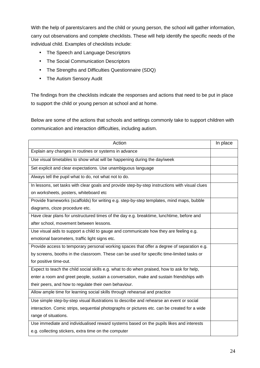With the help of parents/carers and the child or young person, the school will gather information, carry out observations and complete checklists. These will help identify the specific needs of the individual child. Examples of checklists include:

- The Speech and Language Descriptors
- The Social Communication Descriptors
- The Strengths and Difficulties Questionnaire (SDQ)
- The Autism Sensory Audit

The findings from the checklists indicate the responses and actions that need to be put in place to support the child or young person at school and at home.

Below are some of the actions that schools and settings commonly take to support children with communication and interaction difficulties, including autism.

| Action                                                                                         | In place |
|------------------------------------------------------------------------------------------------|----------|
| Explain any changes in routines or systems in advance                                          |          |
| Use visual timetables to show what will be happening during the day/week                       |          |
| Set explicit and clear expectations. Use unambiguous language                                  |          |
| Always tell the pupil what to do, not what not to do.                                          |          |
| In lessons, set tasks with clear goals and provide step-by-step instructions with visual clues |          |
| on worksheets, posters, whiteboard etc                                                         |          |
| Provide frameworks (scaffolds) for writing e.g. step-by-step templates, mind maps, bubble      |          |
| diagrams, cloze procedure etc.                                                                 |          |
| Have clear plans for unstructured times of the day e.g. breaktime, lunchtime, before and       |          |
| after school, movement between lessons.                                                        |          |
| Use visual aids to support a child to gauge and communicate how they are feeling e.g.          |          |
| emotional barometers, traffic light signs etc.                                                 |          |
| Provide access to temporary personal working spaces that offer a degree of separation e.g.     |          |
| by screens, booths in the classroom. These can be used for specific time-limited tasks or      |          |
| for positive time-out.                                                                         |          |
| Expect to teach the child social skills e.g. what to do when praised, how to ask for help,     |          |
| enter a room and greet people, sustain a conversation, make and sustain friendships with       |          |
| their peers, and how to regulate their own behaviour.                                          |          |
| Allow ample time for learning social skills through rehearsal and practice                     |          |
| Use simple step-by-step visual illustrations to describe and rehearse an event or social       |          |
| interaction. Comic strips, sequential photographs or pictures etc. can be created for a wide   |          |
| range of situations.                                                                           |          |
| Use immediate and individualised reward systems based on the pupils likes and interests        |          |
| e.g. collecting stickers, extra time on the computer                                           |          |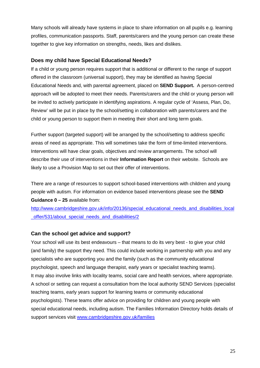Many schools will already have systems in place to share information on all pupils e.g. learning profiles, communication passports. Staff, parents/carers and the young person can create these together to give key information on strengths, needs, likes and dislikes.

#### **Does my child have Special Educational Needs?**

If a child or young person requires support that is additional or different to the range of support offered in the classroom (universal support), they may be identified as having Special Educational Needs and, with parental agreement, placed on **SEND Support.** A person-centred approach will be adopted to meet their needs. Parents/carers and the child or young person will be invited to actively participate in identifying aspirations. A regular cycle of 'Assess, Plan, Do, Review' will be put in place by the school/setting in collaboration with parents/carers and the child or young person to support them in meeting their short and long term goals.

Further support (targeted support) will be arranged by the school/setting to address specific areas of need as appropriate. This will sometimes take the form of time-limited interventions. Interventions will have clear goals, objectives and review arrangements. The school will describe their use of interventions in their **Information Report** on their website. Schools are likely to use a Provision Map to set out their offer of interventions.

There are a range of resources to support school-based interventions with children and young people with autism. For information on evidence based interventions please see the **SEND Guidance 0 – 25** available from:

http://www.cambridgeshire.gov.uk/info/20136/special\_educational\_needs\_and\_disabilities\_local \_offer/531/about\_special\_needs\_and\_disabilities/2

#### **Can the school get advice and support?**

Your school will use its best endeavours – that means to do its very best - to give your child (and family) the support they need. This could include working in partnership with you and any specialists who are supporting you and the family (such as the community educational psychologist, speech and language therapist, early years or specialist teaching teams). It may also involve links with locality teams, social care and health services, where appropriate. A school or setting can request a consultation from the local authority SEND Services (specialist teaching teams, early years support for learning teams or community educational psychologists). These teams offer advice on providing for children and young people with special educational needs, including autism. The Families Information Directory holds details of support services visit www.cambridgeshire.gov.uk/families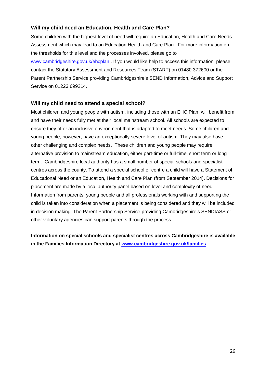#### **Will my child need an Education, Health and Care Plan?**

Some children with the highest level of need will require an Education, Health and Care Needs Assessment which may lead to an Education Health and Care Plan. For more information on the thresholds for this level and the processes involved, please go to www.cambridgeshire.gov.uk/ehcplan . If you would like help to access this information, please contact the Statutory Assessment and Resources Team (START) on 01480 372600 or the Parent Partnership Service providing Cambridgeshire's SEND Information, Advice and Support Service on 01223 699214.

#### **Will my child need to attend a special school?**

Most children and young people with autism, including those with an EHC Plan, will benefit from and have their needs fully met at their local mainstream school. All schools are expected to ensure they offer an inclusive environment that is adapted to meet needs. Some children and young people, however, have an exceptionally severe level of autism. They may also have other challenging and complex needs. These children and young people may require alternative provision to mainstream education, either part-time or full-time, short term or long term. Cambridgeshire local authority has a small number of special schools and specialist centres across the county. To attend a special school or centre a child will have a Statement of Educational Need or an Education, Health and Care Plan (from September 2014). Decisions for placement are made by a local authority panel based on level and complexity of need. Information from parents, young people and all professionals working with and supporting the child is taken into consideration when a placement is being considered and they will be included in decision making. The Parent Partnership Service providing Cambridgeshire's SENDIASS or other voluntary agencies can support parents through the process.

**Information on special schools and specialist centres across Cambridgeshire is available in the Families Information Directory at www.cambridgeshire.gov.uk/families**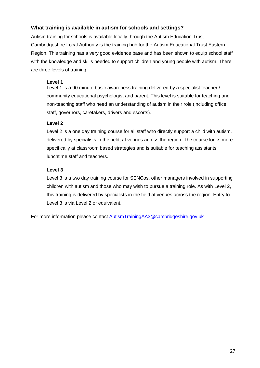#### **What training is available in autism for schools and settings?**

Autism training for schools is available locally through the Autism Education Trust. Cambridgeshire Local Authority is the training hub for the Autism Educational Trust Eastern Region. This training has a very good evidence base and has been shown to equip school staff with the knowledge and skills needed to support children and young people with autism. There are three levels of training:

#### **Level 1**

Level 1 is a 90 minute basic awareness training delivered by a specialist teacher / community educational psychologist and parent. This level is suitable for teaching and non-teaching staff who need an understanding of autism in their role (including office staff, governors, caretakers, drivers and escorts).

#### **Level 2**

Level 2 is a one day training course for all staff who directly support a child with autism, delivered by specialists in the field, at venues across the region. The course looks more specifically at classroom based strategies and is suitable for teaching assistants, lunchtime staff and teachers.

#### **Level 3**

Level 3 is a two day training course for SENCos, other managers involved in supporting children with autism and those who may wish to pursue a training role. As with Level 2, this training is delivered by specialists in the field at venues across the region. Entry to Level 3 is via Level 2 or equivalent.

For more information please contact AutismTrainingAA3@cambridgeshire.gov.uk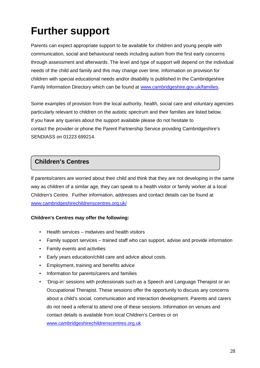# **Further support**

Parents can expect appropriate support to be available for children and young people with communication, social and behavioural needs including autism from the first early concerns through assessment and afterwards. The level and type of support will depend on the individual needs of the child and family and this may change over time. Information on provision for children with special educational needs and/or disability is published in the Cambridgeshire Family Information Directory which can be found at www.cambridgeshire.gov.uk/families.

Some examples of provision from the local authority, health, social care and voluntary agencies particularly relevant to children on the autistic spectrum and their families are listed below. If you have any queries about the support available please do not hesitate to contact the provider or phone the Parent Partnership Service providing Cambridgeshire's SENDIASS on 01223 699214.

#### **Children's Centres**

If parents/carers are worried about their child and think that they are not developing in the same way as children of a similar age, they can speak to a health visitor or family worker at a local Children's Centre. Further information, addresses and contact details can be found at www.cambridgeshirechildrenscentres.org.uk/

#### **Children's Centres may offer the following:**

- Health services midwives and health visitors
- Family support services trained staff who can support, advise and provide information
- Family events and activities
- Early years education/child care and advice about costs
- Employment, training and benefits advice
- Information for parents/carers and families
- 'Drop-in' sessions with professionals such as a Speech and Language Therapist or an Occupational Therapist. These sessions offer the opportunity to discuss any concerns about a child's social, communication and interaction development. Parents and carers do not need a referral to attend one of these sessions. Information on venues and contact details is available from local Children's Centres or on www.cambridgeshirechildrenscentres.org.uk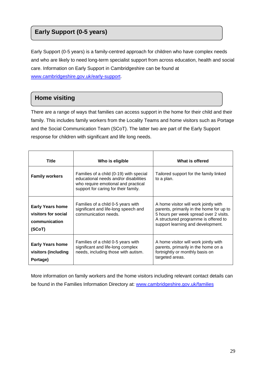### **Early Support (0-5 years)**

Early Support (0-5 years) is a family-centred approach for children who have complex needs and who are likely to need long-term specialist support from across education, health and social care. Information on Early Support in Cambridgeshire can be found at www.cambridgeshire.gov.uk/early-support.

### **Home visiting**

There are a range of ways that families can access support in the home for their child and their family. This includes family workers from the Locality Teams and home visitors such as Portage and the Social Communication Team (SCoT). The latter two are part of the Early Support response for children with significant and life long needs.

| <b>Title</b>                                                              | Who is eligible                                                                                                                                                 | What is offered                                                                                                                                                                                          |
|---------------------------------------------------------------------------|-----------------------------------------------------------------------------------------------------------------------------------------------------------------|----------------------------------------------------------------------------------------------------------------------------------------------------------------------------------------------------------|
| <b>Family workers</b>                                                     | Families of a child (0-19) with special<br>educational needs and/or disabilities<br>who require emotional and practical<br>support for caring for their family. | Tailored support for the family linked<br>to a plan.                                                                                                                                                     |
| <b>Early Years home</b><br>visitors for social<br>communication<br>(SCoT) | Families of a child 0-5 years with<br>significant and life-long speech and<br>communication needs.                                                              | A home visitor will work jointly with<br>parents, primarily in the home for up to<br>5 hours per week spread over 2 visits.<br>A structured programme is offered to<br>support learning and development. |
| <b>Early Years home</b><br>visitors (including<br>Portage)                | Families of a child 0-5 years with<br>significant and life-long complex<br>needs, including those with autism.                                                  | A home visitor will work jointly with<br>parents, primarily in the home on a<br>fortnightly or monthly basis on<br>targeted areas.                                                                       |

More information on family workers and the home visitors including relevant contact details can be found in the Families Information Directory at: www.cambridgeshire.gov.uk/families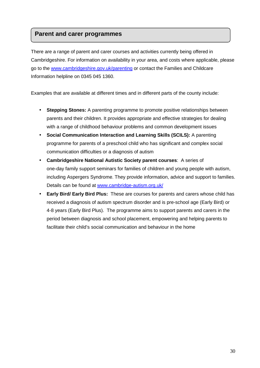#### **Parent and carer programmes**

There are a range of parent and carer courses and activities currently being offered in Cambridgeshire. For information on availability in your area, and costs where applicable, please go to the www.cambridgeshire.gov.uk/parenting or contact the Families and Childcare Information helpline on 0345 045 1360.

Examples that are available at different times and in different parts of the county include:

- **Stepping Stones:** A parenting programme to promote positive relationships between parents and their children. It provides appropriate and effective strategies for dealing with a range of childhood behaviour problems and common development issues
- **Social Communication Interaction and Learning Skills (SCILS):** A parenting programme for parents of a preschool child who has significant and complex social communication difficulties or a diagnosis of autism
- **Cambridgeshire National Autistic Society parent courses**: A series of one-day family support seminars for families of children and young people with autism, including Aspergers Syndrome. They provide information, advice and support to families. Details can be found at www.cambridge-autism.org.uk/
- **Early Bird/ Early Bird Plus:** These are courses for parents and carers whose child has received a diagnosis of autism spectrum disorder and is pre-school age (Early Bird) or 4-8 years (Early Bird Plus). The programme aims to support parents and carers in the period between diagnosis and school placement, empowering and helping parents to facilitate their child's social communication and behaviour in the home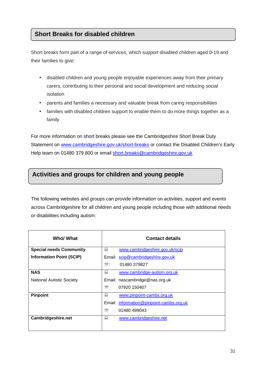#### **Short Breaks for disabled children**

Short breaks form part of a range of services, which support disabled children aged 0-19 and their families to give:

- disabled children and young people enjoyable experiences away from their primary carers, contributing to their personal and social development and reducing social isolation
- parents and families a necessary and valuable break from caring responsibilities
- families with disabled children support to enable them to do more things together as a family

For more information on short breaks please see the Cambridgeshire Short Break Duty Statement on www.cambridgeshire.gov.uk/short-breaks or contact the Disabled Children's Early Help team on 01480 379 800 or email short.breaks@cambridgeshire.gov.uk

#### **Activities and groups for children and young people**

The following websites and groups can provide information on activities, support and events across Cambridgeshire for all children and young people including those with additional needs or disabilities including autism:

| Who/ What                        | <b>Contact details</b>                   |
|----------------------------------|------------------------------------------|
| <b>Special needs Community</b>   | 鳳<br>www.cambridgeshire.gov.uk/scip      |
| <b>Information Point (SCIP)</b>  | Email: scip@cambridgeshire.gov.uk        |
|                                  | $\mathbb{R}$ :<br>01480 379827           |
| <b>NAS</b>                       | 鳳<br>www.cambridge-autism.org.uk         |
| <b>National Autistic Society</b> | Email: nascambridge@nas.org.uk           |
|                                  | ⋘<br>07920 150407                        |
| Pinpoint                         | 鳳<br>www.pinpoint-cambs.org.uk           |
|                                  | Email: information@pinpoint-cambs.org.uk |
|                                  | ₩<br>01480 499043                        |
| <b>Cambridgeshire.net</b>        | 鳳<br>www.cambridgeshire.net              |
|                                  |                                          |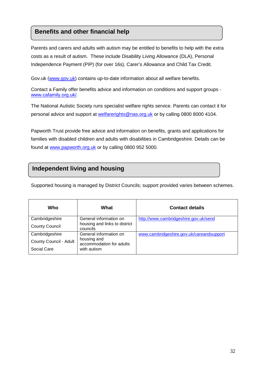#### **Benefits and other financial help**

Parents and carers and adults with autism may be entitled to benefits to help with the extra costs as a result of autism. These include Disability Living Allowance (DLA), Personal Independence Payment (PIP) (for over 16s), Carer's Allowance and Child Tax Credit.

Gov.uk (www.gov.uk) contains up-to-date information about all welfare benefits.

Contact a Family offer benefits advice and information on conditions and support groups www.cafamily.org.uk/.

The National Autistic Society runs specialist welfare rights service. Parents can contact it for personal advice and support at welfarerights@nas.org.uk or by calling 0800 8000 4104.

Papworth Trust provide free advice and information on benefits, grants and applications for families with disabled children and adults with disabilities in Cambridgeshire. Details can be found at www.papworth.org.uk or by calling 0800 952 5000.

#### **Independent living and housing**

Supported housing is managed by District Councils; support provided varies between schemes.

| Who                    | What                                      | <b>Contact details</b>                   |
|------------------------|-------------------------------------------|------------------------------------------|
| Cambridgeshire         | General information on                    | http://www.cambridgeshire.gov.uk/send    |
| <b>County Council</b>  | housing and links to district<br>councils |                                          |
| Cambridgeshire         | General information on                    | www.cambridgeshire.gov.uk/careandsupport |
| County Council - Adult | housing and<br>accommodation for adults   |                                          |
| Social Care            | with autism                               |                                          |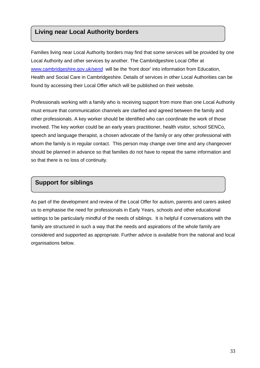#### **Living near Local Authority borders**

Families living near Local Authority borders may find that some services will be provided by one Local Authority and other services by another. The Cambridgeshire Local Offer at www.cambridgeshire.gov.uk/send will be the 'front door' into information from Education, Health and Social Care in Cambridgeshire. Details of services in other Local Authorities can be found by accessing their Local Offer which will be published on their website.

Professionals working with a family who is receiving support from more than one Local Authority must ensure that communication channels are clarified and agreed between the family and other professionals. A key worker should be identified who can coordinate the work of those involved. The key worker could be an early years practitioner, health visitor, school SENCo, speech and language therapist, a chosen advocate of the family or any other professional with whom the family is in regular contact. This person may change over time and any changeover should be planned in advance so that families do not have to repeat the same information and so that there is no loss of continuity.

#### **Support for siblings**

As part of the development and review of the Local Offer for autism, parents and carers asked us to emphasise the need for professionals in Early Years, schools and other educational settings to be particularly mindful of the needs of siblings. It is helpful if conversations with the family are structured in such a way that the needs and aspirations of the whole family are considered and supported as appropriate. Further advice is available from the national and local organisations below.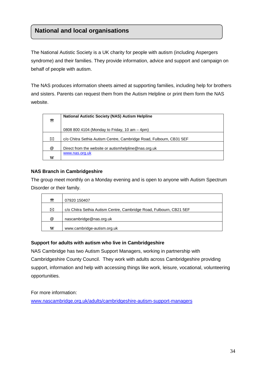### **National and local organisations**

The National Autistic Society is a UK charity for people with autism (including Aspergers syndrome) and their families. They provide information, advice and support and campaign on behalf of people with autism.

The NAS produces information sheets aimed at supporting families, including help for brothers and sisters. Parents can request them from the Autism Helpline or print them form the NAS website.

| ☎ | <b>National Autistic Society (NAS) Autism Helpline</b>              |
|---|---------------------------------------------------------------------|
|   | 0808 800 4104 (Monday to Friday, 10 am - 4pm)                       |
| ⊠ | c/o Chitra Sethia Autism Centre, Cambridge Road, Fulbourn, CB31 5EF |
| @ | Direct from the website or autismhelpline@nas.org.uk                |
| W | www.nas.org.uk                                                      |

#### **NAS Branch in Cambridgeshire**

The group meet monthly on a Monday evening and is open to anyone with Autism Spectrum Disorder or their family.

| 雷 | 07920 150407                                                        |
|---|---------------------------------------------------------------------|
| ⊠ | c/o Chitra Sethia Autism Centre, Cambridge Road, Fulbourn, CB21 5EF |
| @ | nascambridge@nas.org.uk                                             |
| w | www.cambridge-autism.org.uk                                         |

#### **Support for adults with autism who live in Cambridgeshire**

NAS Cambridge has two Autism Support Managers, working in partnership with Cambridgeshire County Council. They work with adults across Cambridgeshire providing support, information and help with accessing things like work, leisure, vocational, volunteering opportunities.

For more information:

www.nascambridge.org.uk/adults/cambridgeshire-autism-support-managers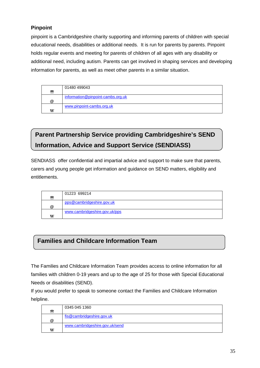#### **Pinpoint**

pinpoint is a Cambridgeshire charity supporting and informing parents of children with special educational needs, disabilities or additional needs. It is run for parents by parents. Pinpoint holds regular events and meeting for parents of children of all ages with any disability or additional need, including autism. Parents can get involved in shaping services and developing information for parents, as well as meet other parents in a similar situation.

| 需 | 01480 499043                      |
|---|-----------------------------------|
| @ | information@pinpoint-cambs.org.uk |
| w | www.pinpoint-cambs.org.uk         |

# **Parent Partnership Service providing Cambridgeshire's SEND Information, Advice and Support Service (SENDIASS)**

SENDIASS offer confidential and impartial advice and support to make sure that parents, carers and young people get information and guidance on SEND matters, eligibility and entitlements.

| 霥 | 01223 699214                  |
|---|-------------------------------|
| @ | pps@cambridgeshire.gov.uk     |
| W | www.cambridgeshire.gov.uk/pps |

### **Families and Childcare Information Team**

The Families and Childcare Information Team provides access to online information for all families with children 0-19 years and up to the age of 25 for those with Special Educational Needs or disabilities (SEND).

If you would prefer to speak to someone contact the Families and Childcare Information helpline.

| 雷        | 0345 045 1360                  |
|----------|--------------------------------|
| $\omega$ | fis@cambridgeshire.gov.uk      |
| w        | www.cambridgeshire.gov.uk/send |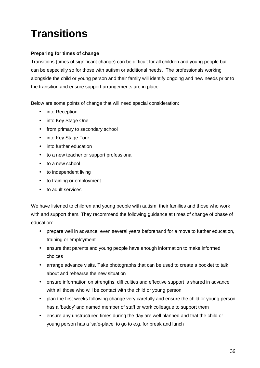# **Transitions**

#### **Preparing for times of change**

Transitions (times of significant change) can be difficult for all children and young people but can be especially so for those with autism or additional needs. The professionals working alongside the child or young person and their family will identify ongoing and new needs prior to the transition and ensure support arrangements are in place.

Below are some points of change that will need special consideration:

- into Reception
- into Key Stage One
- from primary to secondary school
- into Key Stage Four
- into further education
- to a new teacher or support professional
- to a new school
- to independent living
- to training or employment
- to adult services

We have listened to children and young people with autism, their families and those who work with and support them. They recommend the following guidance at times of change of phase of education:

- prepare well in advance, even several years beforehand for a move to further education, training or employment
- ensure that parents and young people have enough information to make informed choices
- arrange advance visits. Take photographs that can be used to create a booklet to talk about and rehearse the new situation
- ensure information on strengths, difficulties and effective support is shared in advance with all those who will be contact with the child or young person
- plan the first weeks following change very carefully and ensure the child or young person has a 'buddy' and named member of staff or work colleague to support them
- ensure any unstructured times during the day are well planned and that the child or young person has a 'safe-place' to go to e.g. for break and lunch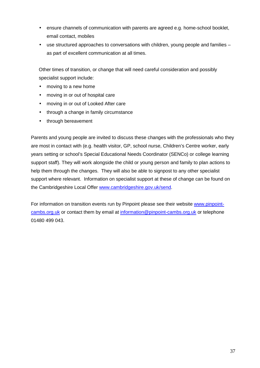- ensure channels of communication with parents are agreed e.g. home-school booklet, email contact, mobiles
- use structured approaches to conversations with children, young people and families as part of excellent communication at all times.

Other times of transition, or change that will need careful consideration and possibly specialist support include:

- moving to a new home
- moving in or out of hospital care
- moving in or out of Looked After care
- through a change in family circumstance
- through bereavement

Parents and young people are invited to discuss these changes with the professionals who they are most in contact with (e.g. health visitor, GP, school nurse, Children's Centre worker, early years setting or school's Special Educational Needs Coordinator (SENCo) or college learning support staff). They will work alongside the child or young person and family to plan actions to help them through the changes. They will also be able to signpost to any other specialist support where relevant. Information on specialist support at these of change can be found on the Cambridgeshire Local Offer www.cambridgeshire.gov.uk/send.

For information on transition events run by Pinpoint please see their website www.pinpointcambs.org.uk or contact them by email at information@pinpoint-cambs.org.uk or telephone 01480 499 043.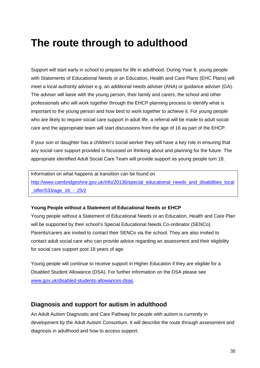# **The route through to adulthood**

Support will start early in school to prepare for life in adulthood. During Year 9, young people with Statements of Educational Needs or an Education, Health and Care Plans (EHC Plans) will meet a local authority adviser e.g. an additional needs adviser (ANA) or guidance adviser (GA). The adviser will liaise with the young person, their family and carers, the school and other professionals who will work together through the EHCP planning process to identify what is important to the young person and how best to work together to achieve it. For young people who are likely to require social care support in adult life, a referral will be made to adult social care and the appropriate team will start discussions from the age of 16 as part of the EHCP.

If your son or daughter has a children's social worker they will have a key role in ensuring that any social care support provided is focussed on thinking about and planning for the future. The appropriate identified Adult Social Care Team will provide support as young people turn 18.

Information on what happens at transition can be found on http://www.cambridgeshire.gov.uk/info/20136/special\_educational\_needs\_and\_disabilities\_local \_offer/533/age\_16\_-\_25/2

#### **Young People without a Statement of Educational Needs or EHCP**

Young people without a Statement of Educational Needs or an Education, Health and Care Plan will be supported by their school's Special Educational Needs Co-ordinator (SENCo). Parents/carers are invited to contact their SENCo via the school. They are also invited to contact adult social care who can provide advice regarding an assessment and their eligibility for social care support post 18 years of age.

Young people will continue to receive support in Higher Education if they are eligible for a Disabled Student Allowance (DSA). For further information on the DSA please see www.gov.uk/disabled-students-allowances-dsas.

#### **Diagnosis and support for autism in adulthood**

An Adult Autism Diagnostic and Care Pathway for people with autism is currently in development by the Adult Autism Consortium. It will describe the route through assessment and diagnosis in adulthood and how to access support.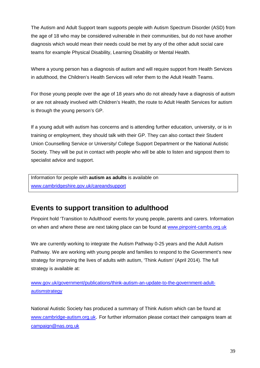The Autism and Adult Support team supports people with Autism Spectrum Disorder (ASD) from the age of 18 who may be considered vulnerable in their communities, but do not have another diagnosis which would mean their needs could be met by any of the other adult social care teams for example Physical Disability, Learning Disability or Mental Health.

Where a young person has a diagnosis of autism and will require support from Health Services in adulthood, the Children's Health Services will refer them to the Adult Health Teams.

For those young people over the age of 18 years who do not already have a diagnosis of autism or are not already involved with Children's Health, the route to Adult Health Services for autism is through the young person's GP.

If a young adult with autism has concerns and is attending further education, university, or is in training or employment, they should talk with their GP. They can also contact their Student Union Counselling Service or University/ College Support Department or the National Autistic Society. They will be put in contact with people who will be able to listen and signpost them to specialist advice and support.

Information for people with **autism as adults** is available on www.cambridgeshire.gov.uk/careandsupport

### **Events to support transition to adulthood**

Pinpoint hold 'Transition to Adulthood' events for young people, parents and carers. Information on when and where these are next taking place can be found at www.pinpoint-cambs.org.uk

We are currently working to integrate the Autism Pathway 0-25 years and the Adult Autism Pathway. We are working with young people and families to respond to the Government's new strategy for improving the lives of adults with autism, 'Think Autism' (April 2014). The full strategy is available at:

www.gov.uk/government/publications/think-autism-an-update-to-the-government-adultautismstrategy

National Autistic Society has produced a summary of Think Autism which can be found at www.cambridge-autism.org.uk. For further information please contact their campaigns team at campaign@nas.org.uk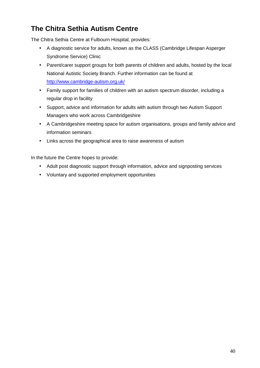# **The Chitra Sethia Autism Centre**

The Chitra Sethia Centre at Fulbourn Hospital, provides:

- A diagnostic service for adults, known as the CLASS (Cambridge Lifespan Asperger Syndrome Service) Clinic
- Parent/carer support groups for both parents of children and adults, hosted by the local National Autistic Society Branch. Further information can be found at http://www.cambridge-autism.org.uk/
- Family support for families of children with an autism spectrum disorder, including a regular drop in facility
- Support, advice and information for adults with autism through two Autism Support Managers who work across Cambridgeshire
- A Cambridgeshire meeting space for autism organisations, groups and family advice and information seminars
- Links across the geographical area to raise awareness of autism

In the future the Centre hopes to provide:

- Adult post diagnostic support through information, advice and signposting services
- Voluntary and supported employment opportunities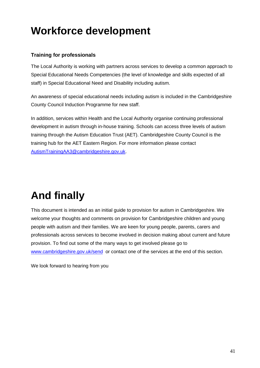# **Workforce development**

#### **Training for professionals**

The Local Authority is working with partners across services to develop a common approach to Special Educational Needs Competencies (the level of knowledge and skills expected of all staff) in Special Educational Need and Disability including autism.

An awareness of special educational needs including autism is included in the Cambridgeshire County Council Induction Programme for new staff.

In addition, services within Health and the Local Authority organise continuing professional development in autism through in-house training. Schools can access three levels of autism training through the Autism Education Trust (AET). Cambridgeshire County Council is the training hub for the AET Eastern Region. For more information please contact AutismTrainingAA3@cambridgeshire.gov.uk.

# **And finally**

This document is intended as an initial guide to provision for autism in Cambridgeshire. We welcome your thoughts and comments on provision for Cambridgeshire children and young people with autism and their families. We are keen for young people, parents, carers and professionals across services to become involved in decision making about current and future provision. To find out some of the many ways to get involved please go to www.cambridgeshire.gov.uk/send or contact one of the services at the end of this section.

We look forward to hearing from you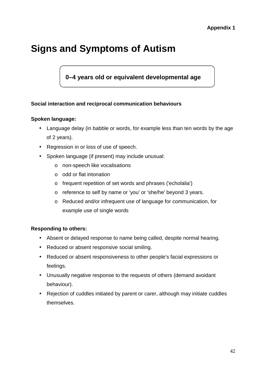# **Signs and Symptoms of Autism**

### **0–4 years old or equivalent developmental age**

#### **Social interaction and reciprocal communication behaviours**

#### **Spoken language:**

- Language delay (in babble or words, for example less than ten words by the age of 2 years).
- Regression in or loss of use of speech.
- Spoken language (if present) may include unusual:
	- o non-speech like vocalisations
	- o odd or flat intonation
	- o frequent repetition of set words and phrases ('echolalia')
	- o reference to self by name or 'you' or 'she/he' beyond 3 years.
	- o Reduced and/or infrequent use of language for communication, for example use of single words

#### **Responding to others:**

- Absent or delayed response to name being called, despite normal hearing.
- Reduced or absent responsive social smiling.
- Reduced or absent responsiveness to other people's facial expressions or feelings.
- Unusually negative response to the requests of others (demand avoidant behaviour).
- Rejection of cuddles initiated by parent or carer, although may initiate cuddles themselves.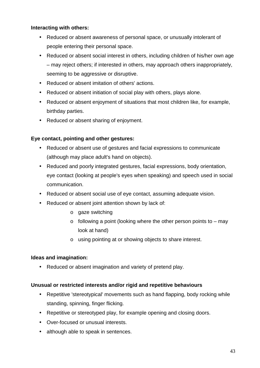#### **Interacting with others:**

- Reduced or absent awareness of personal space, or unusually intolerant of people entering their personal space.
- Reduced or absent social interest in others, including children of his/her own age – may reject others; if interested in others, may approach others inappropriately, seeming to be aggressive or disruptive.
- Reduced or absent imitation of others' actions.
- Reduced or absent initiation of social play with others, plays alone.
- Reduced or absent enjoyment of situations that most children like, for example, birthday parties.
- Reduced or absent sharing of enjoyment.

#### **Eye contact, pointing and other gestures:**

- Reduced or absent use of gestures and facial expressions to communicate (although may place adult's hand on objects).
- Reduced and poorly integrated gestures, facial expressions, body orientation, eye contact (looking at people's eyes when speaking) and speech used in social communication.
- Reduced or absent social use of eye contact, assuming adequate vision.
- Reduced or absent joint attention shown by lack of:
	- o gaze switching
	- $\circ$  following a point (looking where the other person points to may look at hand)
	- o using pointing at or showing objects to share interest.

#### **Ideas and imagination:**

• Reduced or absent imagination and variety of pretend play.

#### **Unusual or restricted interests and/or rigid and repetitive behaviours**

- Repetitive 'stereotypical' movements such as hand flapping, body rocking while standing, spinning, finger flicking.
- Repetitive or stereotyped play, for example opening and closing doors.
- Over-focused or unusual interests.
- although able to speak in sentences.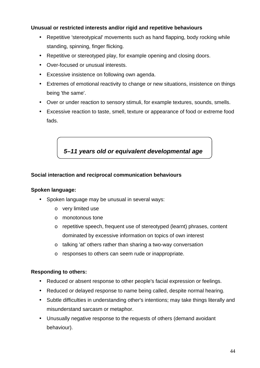#### **Unusual or restricted interests and/or rigid and repetitive behaviours**

- Repetitive 'stereotypical' movements such as hand flapping, body rocking while standing, spinning, finger flicking.
- Repetitive or stereotyped play, for example opening and closing doors.
- Over-focused or unusual interests.
- Excessive insistence on following own agenda.
- Extremes of emotional reactivity to change or new situations, insistence on things being 'the same'.
- Over or under reaction to sensory stimuli, for example textures, sounds, smells.
- Excessive reaction to taste, smell, texture or appearance of food or extreme food fads.

**5–11 years old or equivalent developmental age** 

#### **Social interaction and reciprocal communication behaviours**

#### **Spoken language:**

- Spoken language may be unusual in several ways:
	- o very limited use
	- o monotonous tone
	- o repetitive speech, frequent use of stereotyped (learnt) phrases, content dominated by excessive information on topics of own interest
	- o talking 'at' others rather than sharing a two-way conversation
	- o responses to others can seem rude or inappropriate.

#### **Responding to others:**

- Reduced or absent response to other people's facial expression or feelings.
- Reduced or delayed response to name being called, despite normal hearing.
- Subtle difficulties in understanding other's intentions; may take things literally and misunderstand sarcasm or metaphor.
- Unusually negative response to the requests of others (demand avoidant behaviour).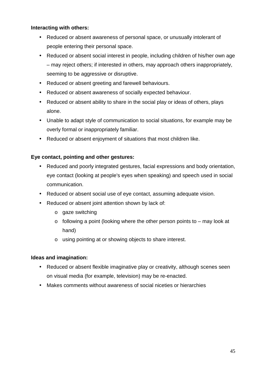#### **Interacting with others:**

- Reduced or absent awareness of personal space, or unusually intolerant of people entering their personal space.
- Reduced or absent social interest in people, including children of his/her own age – may reject others; if interested in others, may approach others inappropriately, seeming to be aggressive or disruptive.
- Reduced or absent greeting and farewell behaviours.
- Reduced or absent awareness of socially expected behaviour.
- Reduced or absent ability to share in the social play or ideas of others, plays alone.
- Unable to adapt style of communication to social situations, for example may be overly formal or inappropriately familiar.
- Reduced or absent enjoyment of situations that most children like.

#### **Eye contact, pointing and other gestures:**

- Reduced and poorly integrated gestures, facial expressions and body orientation, eye contact (looking at people's eyes when speaking) and speech used in social communication.
- Reduced or absent social use of eye contact, assuming adequate vision.
- Reduced or absent joint attention shown by lack of:
	- o gaze switching
	- $\circ$  following a point (looking where the other person points to may look at hand)
	- o using pointing at or showing objects to share interest.

#### **Ideas and imagination:**

- Reduced or absent flexible imaginative play or creativity, although scenes seen on visual media (for example, television) may be re-enacted.
- Makes comments without awareness of social niceties or hierarchies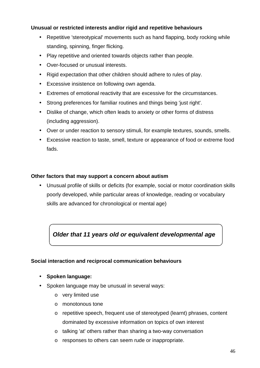#### **Unusual or restricted interests and/or rigid and repetitive behaviours**

- Repetitive 'stereotypical' movements such as hand flapping, body rocking while standing, spinning, finger flicking.
- Play repetitive and oriented towards objects rather than people.
- Over-focused or unusual interests.
- Rigid expectation that other children should adhere to rules of play.
- Excessive insistence on following own agenda.
- Extremes of emotional reactivity that are excessive for the circumstances.
- Strong preferences for familiar routines and things being 'just right'.
- Dislike of change, which often leads to anxiety or other forms of distress (including aggression).
- Over or under reaction to sensory stimuli, for example textures, sounds, smells.
- Excessive reaction to taste, smell, texture or appearance of food or extreme food fads.

#### **Other factors that may support a concern about autism**

• Unusual profile of skills or deficits (for example, social or motor coordination skills poorly developed, while particular areas of knowledge, reading or vocabulary skills are advanced for chronological or mental age)

 **Older that 11 years old or equivalent developmental age**

#### **Social interaction and reciprocal communication behaviours**

#### • **Spoken language:**

- Spoken language may be unusual in several ways:
	- o very limited use
	- o monotonous tone
	- o repetitive speech, frequent use of stereotyped (learnt) phrases, content dominated by excessive information on topics of own interest
	- o talking 'at' others rather than sharing a two-way conversation
	- o responses to others can seem rude or inappropriate.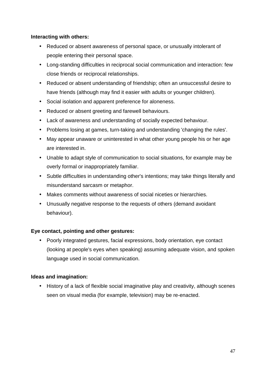#### **Interacting with others:**

- Reduced or absent awareness of personal space, or unusually intolerant of people entering their personal space.
- Long-standing difficulties in reciprocal social communication and interaction: few close friends or reciprocal relationships.
- Reduced or absent understanding of friendship; often an unsuccessful desire to have friends (although may find it easier with adults or younger children).
- Social isolation and apparent preference for aloneness.
- Reduced or absent greeting and farewell behaviours.
- Lack of awareness and understanding of socially expected behaviour.
- Problems losing at games, turn-taking and understanding 'changing the rules'.
- May appear unaware or uninterested in what other young people his or her age are interested in.
- Unable to adapt style of communication to social situations, for example may be overly formal or inappropriately familiar.
- Subtle difficulties in understanding other's intentions; may take things literally and misunderstand sarcasm or metaphor.
- Makes comments without awareness of social niceties or hierarchies.
- Unusually negative response to the requests of others (demand avoidant behaviour).

#### **Eye contact, pointing and other gestures:**

• Poorly integrated gestures, facial expressions, body orientation, eye contact (looking at people's eyes when speaking) assuming adequate vision, and spoken language used in social communication.

#### **Ideas and imagination:**

• History of a lack of flexible social imaginative play and creativity, although scenes seen on visual media (for example, television) may be re-enacted.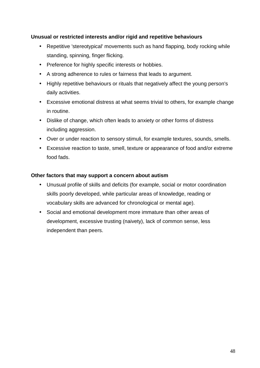#### **Unusual or restricted interests and/or rigid and repetitive behaviours**

- Repetitive 'stereotypical' movements such as hand flapping, body rocking while standing, spinning, finger flicking.
- Preference for highly specific interests or hobbies.
- A strong adherence to rules or fairness that leads to argument.
- Highly repetitive behaviours or rituals that negatively affect the young person's daily activities.
- Excessive emotional distress at what seems trivial to others, for example change in routine.
- Dislike of change, which often leads to anxiety or other forms of distress including aggression.
- Over or under reaction to sensory stimuli, for example textures, sounds, smells.
- Excessive reaction to taste, smell, texture or appearance of food and/or extreme food fads.

#### **Other factors that may support a concern about autism**

- Unusual profile of skills and deficits (for example, social or motor coordination skills poorly developed, while particular areas of knowledge, reading or vocabulary skills are advanced for chronological or mental age).
- Social and emotional development more immature than other areas of development, excessive trusting (naivety), lack of common sense, less independent than peers.